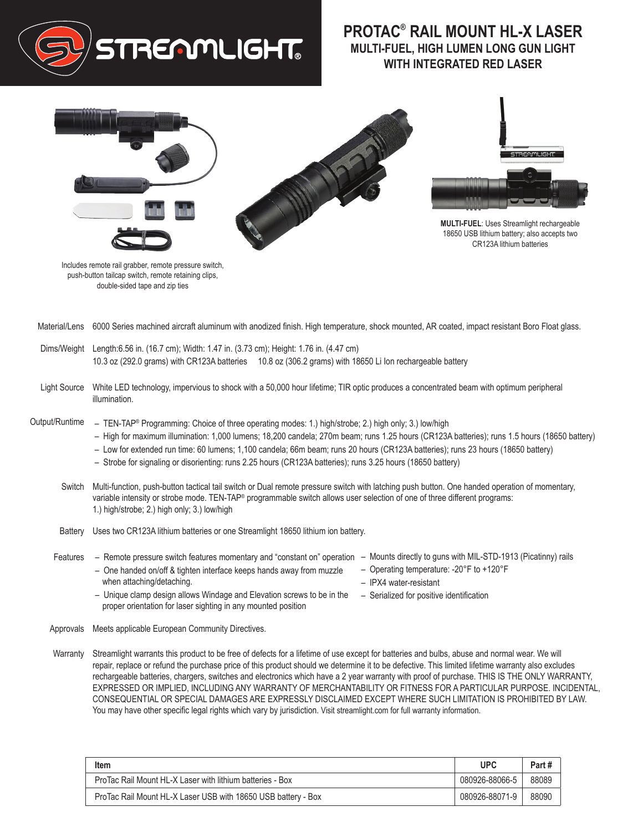

## **PROTAC® RAIL MOUNT HL-X LASER MULTI-FUEL, HIGH LUMEN LONG GUN LIGHT WITH INTEGRATED RED LASER**



Includes remote rail grabber, remote pressure switch, push-button tailcap switch, remote retaining clips, double-sided tape and zip ties

- Material/Lens 6000 Series machined aircraft aluminum with anodized finish. High temperature, shock mounted, AR coated, impact resistant Boro Float glass.
- Dims/Weight Length:6.56 in. (16.7 cm); Width: 1.47 in. (3.73 cm); Height: 1.76 in. (4.47 cm) 10.3 oz (292.0 grams) with CR123A batteries 10.8 oz (306.2 grams) with 18650 Li Ion rechargeable battery
- Light Source White LED technology, impervious to shock with a 50,000 hour lifetime; TIR optic produces a concentrated beam with optimum peripheral illumination.
- Output/Runtime – TEN-TAP® Programming: Choice of three operating modes: 1.) high/strobe; 2.) high only; 3.) low/high
	- High for maximum illumination: 1,000 lumens; 18,200 candela; 270m beam; runs 1.25 hours (CR123A batteries); runs 1.5 hours (18650 battery)
	- Low for extended run time: 60 lumens; 1,100 candela; 66m beam; runs 20 hours (CR123A batteries); runs 23 hours (18650 battery)
	- Strobe for signaling or disorienting: runs 2.25 hours (CR123A batteries); runs 3.25 hours (18650 battery)
	- Switch Multi-function, push-button tactical tail switch or Dual remote pressure switch with latching push button. One handed operation of momentary, variable intensity or strobe mode. TEN-TAP<sup>®</sup> programmable switch allows user selection of one of three different programs: 1.) high/strobe; 2.) high only; 3.) low/high
	- Battery Uses two CR123A lithium batteries or one Streamlight 18650 lithium ion battery.
	- **Features** – Remote pressure switch features momentary and "constant on" operation – One handed on/off & tighten interface keeps hands away from muzzle when attaching/detaching.
- Mounts directly to guns with MIL-STD-1913 (Picatinny) rails
- Operating temperature: -20°F to +120°F
- IPX4 water-resistant
- Unique clamp design allows Windage and Elevation screws to be in the proper orientation for laser sighting in any mounted position – Serialized for positive identification
- Approvals Meets applicable European Community Directives.
- Warranty Streamlight warrants this product to be free of defects for a lifetime of use except for batteries and bulbs, abuse and normal wear. We will repair, replace or refund the purchase price of this product should we determine it to be defective. This limited lifetime warranty also excludes rechargeable batteries, chargers, switches and electronics which have a 2 year warranty with proof of purchase. THIS IS THE ONLY WARRANTY, EXPRESSED OR IMPLIED, INCLUDING ANY WARRANTY OF MERCHANTABILITY OR FITNESS FOR A PARTICULAR PURPOSE. INCIDENTAL, CONSEQUENTIAL OR SPECIAL DAMAGES ARE EXPRESSLY DISCLAIMED EXCEPT WHERE SUCH LIMITATION IS PROHIBITED BY LAW. You may have other specific legal rights which vary by jurisdiction. Visit streamlight.com for full warranty information.

| Item                                                          | <b>UPC</b>     | Part # |
|---------------------------------------------------------------|----------------|--------|
| ProTac Rail Mount HL-X Laser with lithium batteries - Box     | 080926-88066-5 | 88089  |
| ProTac Rail Mount HL-X Laser USB with 18650 USB battery - Box | 080926-88071-9 | 88090  |